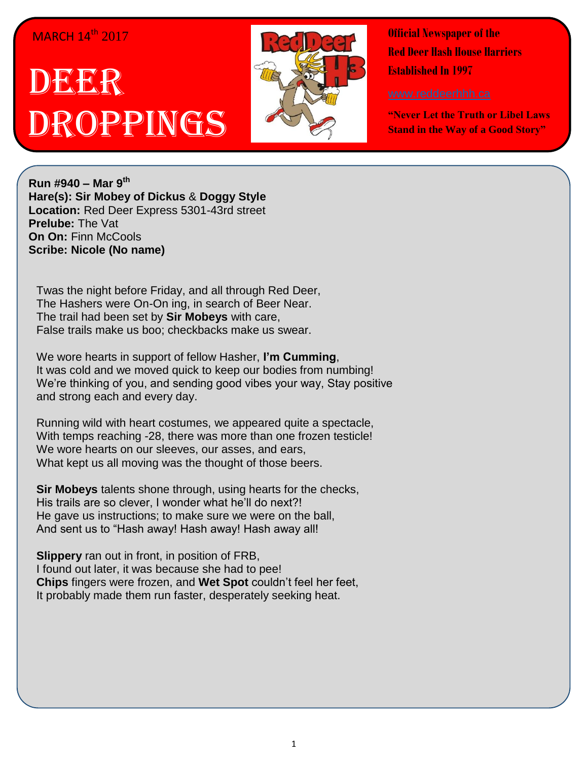## **MARCH 14th 2017**

## IDEELER OPPINGS



**Official Newspaper of the Red Deer Hash House Harriers Established In 1997** 

**"Never Let the Truth or Libel Laws Stand in the Way of a Good Story"**

**Run #940 – Mar 9th Hare(s): Sir Mobey of Dickus** & **Doggy Style Location:** Red Deer Express 5301-43rd street **Prelube:** The Vat **On On: Finn McCools Scribe: Nicole (No name)**

Twas the night before Friday, and all through Red Deer, The Hashers were On-On ing, in search of Beer Near. The trail had been set by **Sir Mobeys** with care, False trails make us boo; checkbacks make us swear.

We wore hearts in support of fellow Hasher, **I'm Cumming**, It was cold and we moved quick to keep our bodies from numbing! We're thinking of you, and sending good vibes your way, Stay positive and strong each and every day.

Running wild with heart costumes, we appeared quite a spectacle, With temps reaching -28, there was more than one frozen testicle! We wore hearts on our sleeves, our asses, and ears, What kept us all moving was the thought of those beers.

**Sir Mobeys** talents shone through, using hearts for the checks, His trails are so clever, I wonder what he'll do next?! He gave us instructions; to make sure we were on the ball, And sent us to "Hash away! Hash away! Hash away all!

**Slippery** ran out in front, in position of FRB, I found out later, it was because she had to pee! **Chips** fingers were frozen, and **Wet Spot** couldn't feel her feet, It probably made them run faster, desperately seeking heat.